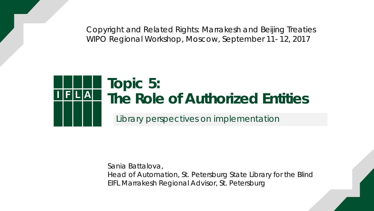Copyright and Related Rights: Marrakesh and Beijing Treaties WIPO Regional Workshop, Moscow, September 11- 12, 2017



Sania Battalova, Head of Automation, St. Petersburg State Library for the Blind EIFL Marrakesh Regional Advisor, St. Petersburg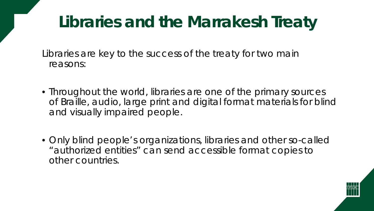### **Libraries and the Marrakesh Treaty**

Libraries are key to the success of the treaty for two main reasons:

- Throughout the world, libraries are one of the primary sources of Braille, audio, large print and digital format materials for blind and visually impaired people.
- Only blind people's organizations, libraries and other so-called "authorized entities" can send accessible format copies to other countries.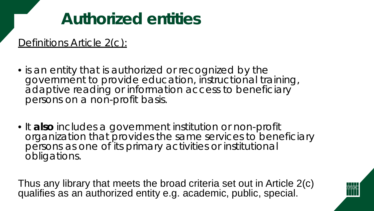### **Authorized entities**

Definitions Article 2(c):

- is an entity that is authorized or recognized by the government to provide education, instructional training, adaptive reading or information access to beneficiary persons on a non-profit basis.
- It **also** includes a government institution or non-profit organization that provides the same services to beneficiary persons as one of its primary activities or institutional obligations.

Thus any library that meets the broad criteria set out in Article 2(c) qualifies as an authorized entity e.g. academic, public, special.

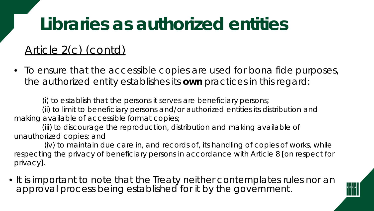## **Libraries as authorized entities**

#### Article 2(c) (contd)

• To ensure that the accessible copies are used for bona fide purposes, the authorized entity establishes its *own* practices in this regard:

(i) to establish that the persons it serves are beneficiary persons;

(ii) to limit to beneficiary persons and/or authorized entities its distribution and making available of accessible format copies;

(iii) to discourage the reproduction, distribution and making available of unauthorized copies; and

(iv) to maintain due care in, and records of, its handling of copies of works, while respecting the privacy of beneficiary persons in accordance with Article 8 [on respect for privacy].

• It is important to note that the Treaty neither contemplates rules nor an approval process being established for it by the government.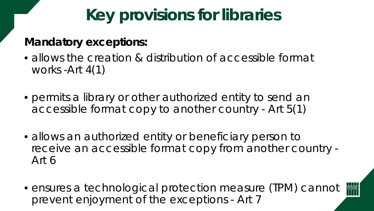### **Key provisions for libraries**

#### **Mandatory exceptions:**

- allows the creation & distribution of accessible format works -Art 4(1)
- permits a library or other authorized entity to send an accessible format copy to another country - Art 5(1)
- allows an authorized entity or beneficiary person to receive an accessible format copy from another country - Art 6
- ensures a technological protection measure (TPM) cannot prevent enjoyment of the exceptions - Art 7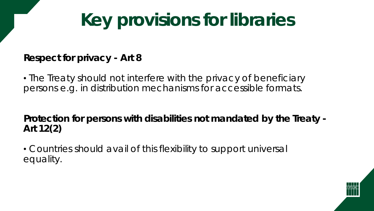# **Key provisions for libraries**

#### **Respect for privacy - Art 8**

• The Treaty should not interfere with the privacy of beneficiary persons e.g. in distribution mechanisms for accessible formats.

**Protection for persons with disabilities not mandated by the Treaty - Art 12(2)**

• Countries should avail of this flexibility to support universal equality.

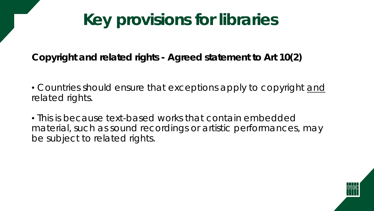### **Key provisions for libraries**

**Copyright and related rights - Agreed statement to Art 10(2)**

• Countries should ensure that exceptions apply to copyright and related rights.

• This is because text-based works that contain embedded material, such as sound recordings or artistic performances, may be subject to related rights.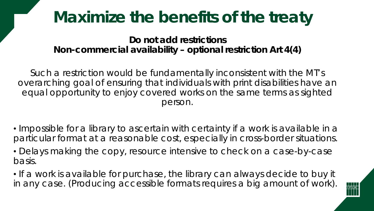### **Maximize the benefits of the treaty**

**Do not add restrictions Non-commercial availability – optional restriction Art 4(4)**

Such a restriction would be fundamentally inconsistent with the MT's overarching goal of ensuring that individuals with print disabilities have an equal opportunity to enjoy covered works on the same terms as sighted person.

- Impossible for a library to ascertain with certainty if a work is available in a particular format at a reasonable cost, especially in cross-border situations.
- Delays making the copy, resource intensive to check on a case-by-case basis.
- If a work is available for purchase, the library can always decide to buy it in any case. (Producing accessible formats requires a big amount of work).

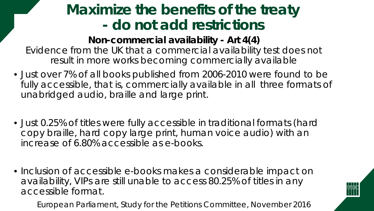### **Maximize the benefits of the treaty - do not add restrictions**

**Non-commercial availability - Art 4(4)** Evidence from the UK that a commercial availability test does not result in more works becoming commercially available

- Just over 7% of all books published from 2006-2010 were found to be fully accessible, that is, commercially available in all three formats of unabridged audio, braille and large print.
- Just 0.25% of titles were fully accessible in traditional formats (hard copy braille, hard copy large print, human voice audio) with an increase of 6.80% accessible as e-books.
- Inclusion of accessible e-books makes a considerable impact on availability, VIPs are still unable to access 80.25% of titles in any accessible format.

European Parliament, Study for the Petitions Committee, November 2016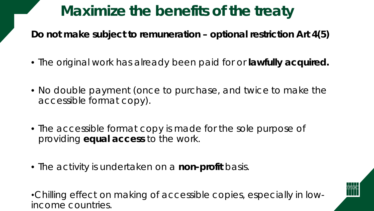### **Maximize the benefits of the treaty**

**Do not make subject to remuneration – optional restriction Art 4(5)**

- The original work has already been paid for or **lawfully acquired.**
- No double payment (once to purchase, and twice to make the accessible format copy).
- The accessible format copy is made for the sole purpose of providing **equal access** to the work.
- The activity is undertaken on a **non-profit** basis.

•Chilling effect on making of accessible copies, especially in lowincome countries.

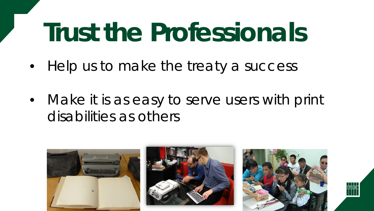# **Trust the Professionals**

- Help us to make the treaty a success
- Make *it is as easy to serve users with print disabilities as others*

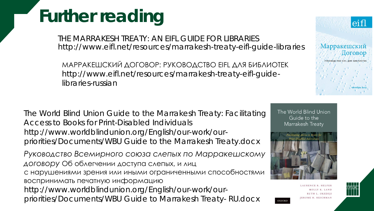# **Further reading**

THE MARRAKESH TREATY: AN EIFL GUIDE FOR LIBRARIES http://www.eifl.net/resources/marrakesh-treaty-eifl-guide-libraries

МАРРАКЕШСКИЙ ДОГОВОР: РУКОВОДСТВО EIFL ДЛЯ БИБЛИОТЕК http://www.eifl.net/resources/marrakesh-treaty-eifl-guidelibraries-russian

*The World Blind Union Guide to the Marrakesh Treaty: Facilitating Access to Books for Print-Disabled Individuals* http://www.worldblindunion.org/English/our-work/ourpriorities/Documents/WBU Guide to the Marrakesh Treaty.docx

*Руководство Всемирного союза слепых по Марракешскому договору* Об облегчении доступа слепых, и лиц с нарушениями зрения или иными ограниченными способностями воспринимать печатную информацию http://www.worldblindunion.org/English/our-work/ourpriorities/Documents/WBU Guide to Marrakesh Treaty- RU.docx

The World Blind Union Guide to the



**OXFORD** 

Marrakesh Treaty

LAURENCE R. HELEEL MOLLY K. LAND



eifl

Поговор

**ОКТЯбрь 2015** 

Марракешский

РУКОВОДСТВО ЕІЕЦ ДЛЯ БИБЛИОТЕК